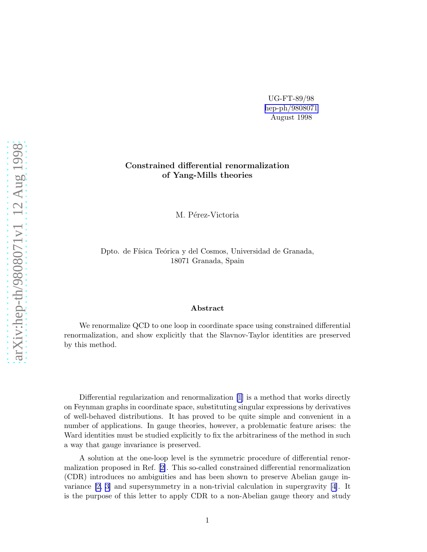UG-FT-89/98 [hep-ph/9808071](http://arxiv.org/abs/hep-ph/9808071) August 1998

## Constrained differential renormalization of Yang-Mills theories

M. Pérez-Victoria

Dpto. de Física Teórica y del Cosmos, Universidad de Granada, 18071 Granada, Spain

## Abstract

We renormalize QCD to one loop in coordinate space using constrained differential renormalization, and show explicitly that the Slavnov-Taylor identities are preserved by this method.

Differential regularization and renormalization [\[1\]](#page-9-0) is a method that works directly on Feynman graphs in coordinate space, substituting singular expressions by derivatives of well-behaved distributions. It has proved to be quite simple and convenient in a number of applications. In gauge theories, however, a problematic feature arises: the Ward identities must be studied explicitly to fix the arbitrariness of the method in such a way that gauge invariance is preserved.

A solution at the one-loop level is the symmetric procedure of differential renormalization proposed in Ref. [\[2\]](#page-9-0). This so-called constrained differential renormalization (CDR) introduces no ambiguities and has been shown to preserve Abelian gauge invariance [\[2,](#page-9-0) [3\]](#page-10-0) and supersymmetry in a non-trivial calculation in supergravity [\[4\]](#page-10-0). It is the purpose of this letter to apply CDR to a non-Abelian gauge theory and study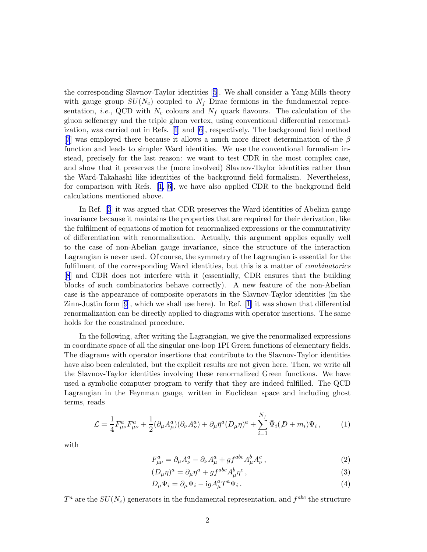the corresponding Slavnov-Taylor identities[[5\]](#page-10-0). We shall consider a Yang-Mills theory with gauge group  $SU(N_c)$  coupled to  $N_f$  Dirac fermions in the fundamental representation, *i.e.*, QCD with  $N_c$  colours and  $N_f$  quark flavours. The calculation of the gluon selfenergy and the triple gluon vertex, using conventional differential renormalization, was carried out in Refs.[[1](#page-9-0)] and [\[6](#page-10-0)], respectively. The background field method [[7](#page-10-0)] was employed there because it allows a much more direct determination of the  $\beta$ function and leads to simpler Ward identities. We use the conventional formalism instead, precisely for the last reason: we want to test CDR in the most complex case, and show that it preserves the (more involved) Slavnov-Taylor identities rather than the Ward-Takahashi like identities of the background field formalism. Nevertheless, for comparison with Refs.  $[1, 6]$  $[1, 6]$ , we have also applied CDR to the background field calculations mentioned above.

In Ref.[[3](#page-10-0)] it was argued that CDR preserves the Ward identities of Abelian gauge invariance because it maintains the properties that are required for their derivation, like the fulfilment of equations of motion for renormalized expressions or the commutativity of differentiation with renormalization. Actually, this argument applies equally well to the case of non-Abelian gauge invariance, since the structure of the interaction Lagrangian is never used. Of course, the symmetry of the Lagrangian is essential for the fulfilment of the corresponding Ward identities, but this is a matter of *combinatorics* [[8](#page-10-0)] and CDR does not interfere with it (essentially, CDR ensures that the building blocks of such combinatorics behave correctly). A new feature of the non-Abelian case is the appearance of composite operators in the Slavnov-Taylor identities (in the Zinn-Justin form[[9](#page-10-0)], which we shall use here). In Ref. [\[1](#page-9-0)] it was shown that differential renormalization can be directly applied to diagrams with operator insertions. The same holds for the constrained procedure.

In the following, after writing the Lagrangian, we give the renormalized expressions in coordinate space of all the singular one-loop 1PI Green functions of elementary fields. The diagrams with operator insertions that contribute to the Slavnov-Taylor identities have also been calculated, but the explicit results are not given here. Then, we write all the Slavnov-Taylor identities involving these renormalized Green functions. We have used a symbolic computer program to verify that they are indeed fulfilled. The QCD Lagrangian in the Feynman gauge, written in Euclidean space and including ghost terms, reads

$$
\mathcal{L} = \frac{1}{4} F_{\mu\nu}^a F_{\mu\nu}^a + \frac{1}{2} (\partial_\mu A_\mu^a)(\partial_\nu A_\nu^a) + \partial_\mu \bar{\eta}^a (D_\mu \eta)^a + \sum_{i=1}^{N_f} \bar{\Psi}_i (D + m_i) \Psi_i ,\qquad (1)
$$

with

$$
F_{\mu\nu}^a = \partial_\mu A_\nu^a - \partial_\nu A_\mu^a + gf^{abc} A_\mu^b A_\nu^c \,, \tag{2}
$$

$$
(D_{\mu}\eta)^{a} = \partial_{\mu}\eta^{a} + gf^{abc}A_{\mu}^{b}\eta^{c}, \qquad (3)
$$

$$
D_{\mu}\Psi_i = \partial_{\mu}\Psi_i - igA_{\mu}^a T^a \Psi_i.
$$
\n<sup>(4)</sup>

 $T^a$  are the  $SU(N_c)$  generators in the fundamental representation, and  $f^{abc}$  the structure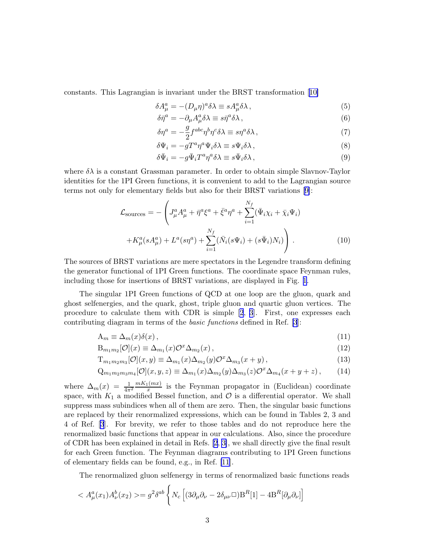<span id="page-2-0"></span>constants. This Lagrangian is invariant under the BRST transformation[[10\]](#page-10-0)

$$
\delta A^a_\mu = - (D_\mu \eta)^a \delta \lambda \equiv s A^a_\mu \delta \lambda \,, \tag{5}
$$

$$
\delta \bar{\eta}^a = -\partial_\mu A^a_\mu \delta \lambda \equiv s \bar{\eta}^a \delta \lambda \,, \tag{6}
$$

$$
\delta \eta^a = -\frac{g}{2} f^{abc} \eta^b \eta^c \delta \lambda \equiv s \eta^a \delta \lambda \,, \tag{7}
$$

$$
\delta\Psi_i = -gT^a\eta^a\Psi_i\delta\lambda \equiv s\Psi_i\delta\lambda\,,\tag{8}
$$

$$
\delta \bar{\Psi}_i = -g \bar{\Psi}_i T^a \eta^a \delta \lambda \equiv s \bar{\Psi}_i \delta \lambda \,, \tag{9}
$$

where  $\delta \lambda$  is a constant Grassman parameter. In order to obtain simple Slavnov-Taylor identities for the 1PI Green functions, it is convenient to add to the Lagrangian source terms not only for elementary fields but also for their BRST variations [\[9\]](#page-10-0):

$$
\mathcal{L}_{\text{sources}} = -\left( J_{\mu}^{a} A_{\mu}^{a} + \bar{\eta}^{a} \xi^{a} + \bar{\xi}^{a} \eta^{a} + \sum_{i=1}^{N_{f}} (\bar{\Psi}_{i} \chi_{i} + \bar{\chi}_{i} \Psi_{i}) + K_{\mu}^{a} (s A_{\mu}^{a}) + L^{a} (s \eta^{a}) + \sum_{i=1}^{N_{f}} (\bar{N}_{i} (s \Psi_{i}) + (s \bar{\Psi}_{i}) N_{i}) \right). \tag{10}
$$

The sources of BRST variations are mere spectators in the Legendre transform defining the generator functional of 1PI Green functions. The coordinate space Feynman rules, including those for insertions of BRST variations, are displayed in Fig. [1](#page-11-0).

The singular 1PI Green functions of QCD at one loop are the gluon, quark and ghost selfenergies, and the quark, ghost, triple gluon and quartic gluon vertices. The procedure to calculate them with CDR is simple [\[2](#page-9-0), [3](#page-10-0)]. First, one expresses each contributing diagram in terms of the *basic functions* defined in Ref.[[3](#page-10-0)]:

$$
A_m \equiv \Delta_m(x)\delta(x)\,,\tag{11}
$$

$$
B_{m_1m_2}[\mathcal{O}](x) \equiv \Delta_{m_1}(x)\mathcal{O}^x\Delta_{m_2}(x) , \qquad (12)
$$

$$
T_{m_1m_2m_3}[\mathcal{O}](x,y) \equiv \Delta_{m_1}(x)\Delta_{m_2}(y)\mathcal{O}^x\Delta_{m_3}(x+y), \qquad (13)
$$

$$
Q_{m_1m_2m_3m_4}[\mathcal{O}](x,y,z) \equiv \Delta_{m_1}(x)\Delta_{m_2}(y)\Delta_{m_3}(z)\mathcal{O}^x\Delta_{m_4}(x+y+z),\tag{14}
$$

where  $\Delta_m(x) = \frac{1}{4\pi^2} \frac{mK_1(mx)}{x}$  $\frac{1}{x}$  is the Feynman propagator in (Euclidean) coordinate space, with  $K_1$  a modified Bessel function, and  $\mathcal O$  is a differential operator. We shall suppress mass subindices when all of them are zero. Then, the singular basic functions are replaced by their renormalized expressions, which can be found in Tables 2, 3 and 4 of Ref. [\[3](#page-10-0)]. For brevity, we refer to those tables and do not reproduce here the renormalized basic functions that appear in our calculations. Also, since the procedure of CDR has been explained in detail in Refs.[[2](#page-9-0), [3\]](#page-10-0), we shall directly give the final result for each Green function. The Feynman diagrams contributing to 1PI Green functions of elementary fields can be found, e.g., in Ref. [\[11](#page-10-0)].

The renormalized gluon selfenergy in terms of renormalized basic functions reads

$$
\langle A_{\mu}^{a}(x_{1})A_{\nu}^{b}(x_{2}) \rangle = g^{2} \delta^{ab} \left\{ N_{c} \left[ (3\partial_{\mu}\partial_{\nu} - 2\delta_{\mu\nu} \Box) \mathbf{B}^{R}[\mathbf{1}] - 4 \mathbf{B}^{R}[\partial_{\mu}\partial_{\nu}] \right] \right\}
$$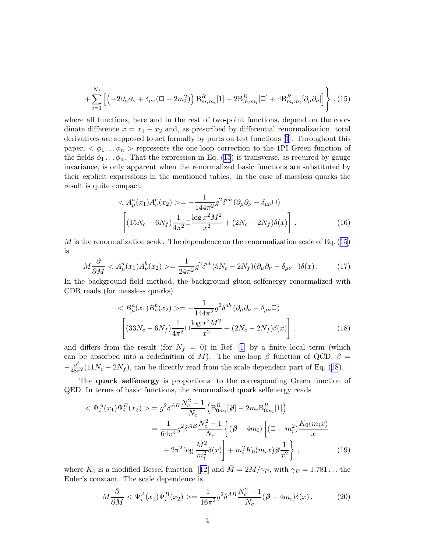$$
+\sum_{i=1}^{N_f} \left[ \left( -2\partial_{\mu}\partial_{\nu} + \delta_{\mu\nu} (\Box + 2m_i^2) \right) B_{m_i m_i}^R [1] - 2B_{m_i m_i}^R [\Box] + 4B_{m_i m_i}^R [\partial_{\mu}\partial_{\nu}] \right] \right\} , (15)
$$

where all functions, here and in the rest of two-point functions, depend on the coordinate difference  $x = x_1 - x_2$  and, as prescribed by differential renormalization, total derivatives are supposed to act formally by parts on test functions [\[1](#page-9-0)]. Throughout this paper,  $\langle \phi_1 \dots \phi_n \rangle$  represents the one-loop correction to the 1PI Green function of thefields  $\phi_1 \dots \phi_n$ . That the expression in Eq. ([15](#page-2-0)) is transverse, as required by gauge invariance, is only apparent when the renormalized basic functions are substituted by their explicit expressions in the mentioned tables. In the case of massless quarks the result is quite compact:

$$
\langle A_{\mu}^{a}(x_{1})A_{\nu}^{b}(x_{2}) \rangle = -\frac{1}{144\pi^{2}}g^{2}\delta^{ab}(\partial_{\mu}\partial_{\nu} - \delta_{\mu\nu}\Box)
$$

$$
\left[ (15N_{c} - 6N_{f})\frac{1}{4\pi^{2}}\Box\frac{\log x^{2}M^{2}}{x^{2}} + (2N_{c} - 2N_{f})\delta(x) \right].
$$
 (16)

 $M$ is the renormalization scale. The dependence on the renormalization scale of Eq. ([15\)](#page-2-0) is

$$
M\frac{\partial}{\partial M} < A^a_\mu(x_1)A^b_\nu(x_2) > = \frac{1}{24\pi^2}g^2\delta^{ab}(5N_c - 2N_f)(\partial_\mu\partial_\nu - \delta_{\mu\nu}\Box)\delta(x) \,. \tag{17}
$$

In the background field method, the background gluon selfenergy renormalized with CDR reads (for massless quarks)

$$
\langle B_{\mu}^{a}(x_{1})B_{\nu}^{b}(x_{2}) \rangle = -\frac{1}{144\pi^{2}}g^{2}\delta^{ab} \left(\partial_{\mu}\partial_{\nu} - \delta_{\mu\nu}\Box\right)
$$

$$
\left[ (33N_{c} - 6N_{f})\frac{1}{4\pi^{2}}\Box\frac{\log x^{2}M^{2}}{x^{2}} + (2N_{c} - 2N_{f})\delta(x) \right],
$$
(18)

and differs from the result (for  $N_f = 0$ ) in Ref. [\[1\]](#page-9-0) by a finite local term (which can be absorbed into a redefinition of M). The one-loop  $\beta$  function of QCD,  $\beta$  =  $-\frac{g^3}{48\pi^2}(11N_c-2N_f)$ , can be directly read from the scale dependent part of Eq. (18).

The quark selfenergy is proportional to the corresponding Green function of QED. In terms of basic functions, the renormalized quark selfenergy reads

$$
\langle \Psi_i^A(x_1) \bar{\Psi}_i^B(x_2) \rangle = g^2 \delta^{AB} \frac{N_c^2 - 1}{N_c} \left( \mathcal{B}_{0m_i}^R[\emptyset] - 2m_i \mathcal{B}_{0m_i}^R[1] \right)
$$
  

$$
= \frac{1}{64\pi^4} g^2 \delta^{AB} \frac{N_c^2 - 1}{N_c} \left\{ (\emptyset - 4m_i) \left[ (\square - m_i^2) \frac{K_0(m_i x)}{x} + 2\pi^2 \log \frac{\bar{M}^2}{m_i^2} \delta(x) \right] + m_i^2 K_0(m_i x) \partial \frac{1}{x^2} \right\},
$$
(19)

where $K_0$  is a modified Bessel function [[12](#page-10-0)] and  $\overline{M} = 2M/\gamma_E$ , with  $\gamma_E = 1.781...$  the Euler's constant. The scale dependence is

$$
M\frac{\partial}{\partial M} < \Psi_i^A(x_1)\bar{\Psi}_i^B(x_2) > = \frac{1}{16\pi^2}g^2\delta^{AB}\frac{N_c^2 - 1}{N_c}(\partial - 4m_i)\delta(x) \,. \tag{20}
$$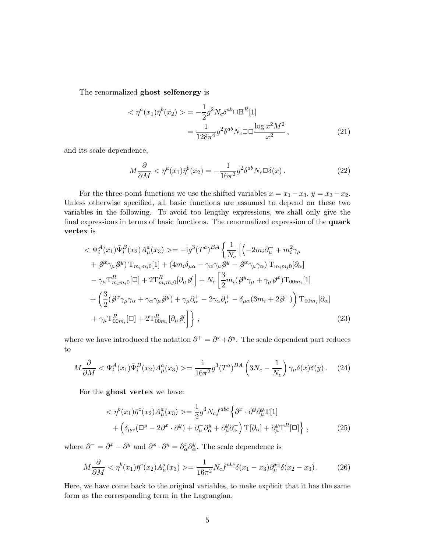The renormalized ghost selfenergy is

$$
\langle \eta^a(x_1)\bar{\eta}^b(x_2)\rangle = -\frac{1}{2}g^2N_c\delta^{ab}\Box B^R[1] \n= \frac{1}{128\pi^4}g^2\delta^{ab}N_c\Box\Box\frac{\log x^2M^2}{x^2},
$$
\n(21)

and its scale dependence,

$$
M\frac{\partial}{\partial M} < \eta^a(x_1)\bar{\eta}^b(x_2) = -\frac{1}{16\pi^2}g^2\delta^{ab}N_c\Box\delta(x) \,. \tag{22}
$$

For the three-point functions we use the shifted variables  $x = x_1 - x_3$ ,  $y = x_3 - x_2$ . Unless otherwise specified, all basic functions are assumed to depend on these two variables in the following. To avoid too lengthy expressions, we shall only give the final expressions in terms of basic functions. The renormalized expression of the quark vertex is

$$
\langle \Psi_i^A(x_1) \bar{\Psi}_i^B(x_2) A_\mu^a(x_3) \rangle = -ig^3 (T^a)^{BA} \left\{ \frac{1}{N_c} \left[ \left( -2m_i \partial_\mu^+ + m_i^2 \gamma_\mu \right) \right. \\ \left. + \partial^x \gamma_\mu \partial^y \right) \mathrm{T}_{m_i m_i 0} [1] + (4m_i \delta_{\mu \alpha} - \gamma_\alpha \gamma_\mu \partial^y - \partial^x \gamma_\mu \gamma_\alpha) \mathrm{T}_{m_i m_i 0} [\partial_\alpha] \\ \left. - \gamma_\mu \mathrm{T}_{m_i m_i 0}^R [\Box] + 2 \mathrm{T}_{m_i m_i 0}^R [\partial_\mu \partial] \right] + N_c \left[ \frac{3}{2} m_i (\partial^y \gamma_\mu + \gamma_\mu \partial^x) \mathrm{T}_{00 m_i} [1] \right. \\ \left. + \left( \frac{3}{2} (\partial^x \gamma_\mu \gamma_\alpha + \gamma_\alpha \gamma_\mu \partial^y) + \gamma_\mu \partial_\alpha^+ - 2 \gamma_\alpha \partial_\mu^+ - \delta_{\mu \alpha} (3m_i + 2\partial^+) \right) \mathrm{T}_{00 m_i} [\partial_\alpha] \\ \left. + \gamma_\mu \mathrm{T}_{00 m_i}^R [\Box] + 2 \mathrm{T}_{00 m_i}^R [\partial_\mu \partial] \right] \right\}, \tag{23}
$$

where we have introduced the notation  $\partial^+ = \partial^x + \partial^y$ . The scale dependent part reduces to

$$
M\frac{\partial}{\partial M} < \Psi_i^A(x_1)\bar{\Psi}_i^B(x_2)A_\mu^a(x_3) > = \frac{\mathrm{i}}{16\pi^2}g^3(T^a)^{BA} \left(3N_c - \frac{1}{N_c}\right)\gamma_\mu\delta(x)\delta(y) \,. \tag{24}
$$

For the ghost vertex we have:

$$
\langle \eta^{b}(x_{1})\bar{\eta}^{c}(x_{2})A_{\mu}^{a}(x_{3}) \rangle = \frac{1}{2}g^{3}N_{c}f^{abc}\left\{\partial^{x}\cdot\partial^{y}\partial_{\mu}^{y}T[1]\right\} + \left(\delta_{\mu\alpha}(\Box^{y} - 2\partial^{x}\cdot\partial^{y}) + \partial_{\mu}^{z}\partial_{\alpha}^{y} + \partial_{\mu}^{y}\partial_{\alpha}^{-}\right)T[\partial_{\alpha}] + \partial_{\mu}^{y}T^{R}[\Box]\right\},
$$
\n(25)

where  $\partial^- = \partial^x - \partial^y$  and  $\partial^x \cdot \partial^y = \partial^x_{\alpha} \partial^y_{\alpha}$ . The scale dependence is

$$
M\frac{\partial}{\partial M} < \eta^b(x_1)\bar{\eta}^c(x_2)A^a_\mu(x_3) > = \frac{1}{16\pi^2}N_c f^{abc}\delta(x_1 - x_3)\partial^{x_2}_\mu\delta(x_2 - x_3) \,. \tag{26}
$$

Here, we have come back to the original variables, to make explicit that it has the same form as the corresponding term in the Lagrangian.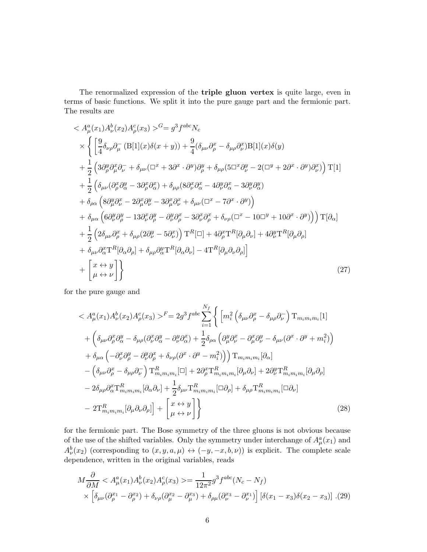The renormalized expression of the triple gluon vertex is quite large, even in terms of basic functions. We split it into the pure gauge part and the fermionic part. The results are

$$
\langle A_{\mu}^{a}(x_{1}) A_{\nu}^{b}(x_{2}) A_{\rho}^{c}(x_{3}) \rangle^{G} = g^{3} f^{abc} N_{c}
$$
\n
$$
\times \left\{ \left[ \frac{9}{4} \delta_{\nu\rho} \partial_{\mu}^{-} (B[1](x) \delta(x+y)) + \frac{9}{4} (\delta_{\mu\nu} \partial_{\rho}^{x} - \delta_{\mu\rho} \partial_{\nu}^{x}) B[1](x) \delta(y) \right. \\ \left. + \frac{1}{2} \left( 3 \partial_{\rho}^{y} \partial_{\mu}^{x} \partial_{\nu}^{-} + \delta_{\mu\nu} (\Box^{x} + 3 \partial^{x} \cdot \partial^{y}) \partial_{\rho}^{y} + \delta_{\mu\rho} (5 \Box^{x} \partial_{\nu}^{y} - 2 (\Box^{y} + 2 \partial^{x} \cdot \partial^{y}) \partial_{\nu}^{x}) \right) T[1] \right. \\ \left. + \frac{1}{2} \left( \delta_{\mu\nu} (\partial_{\rho}^{x} \partial_{\alpha}^{y} - 3 \partial_{\rho}^{x} \partial_{\alpha}^{x}) + \delta_{\mu\rho} (8 \partial_{\nu}^{x} \partial_{\alpha}^{x} - 4 \partial_{\nu}^{y} \partial_{\alpha}^{x} - 3 \partial_{\nu}^{y} \partial_{\alpha}^{y}) \right. \\ \left. + \delta_{\rho\alpha} \left( 8 \partial_{\mu}^{y} \partial_{\nu}^{x} - 2 \partial_{\mu}^{x} \partial_{\nu}^{y} - 3 \partial_{\mu}^{x} \partial_{\nu}^{x} + \delta_{\mu\nu} (\Box^{x} - 7 \partial^{x} \cdot \partial^{y}) \right) \right. \\ \left. + \delta_{\mu\alpha} \left( 6 \partial_{\nu}^{y} \partial_{\rho}^{y} - 13 \partial_{\nu}^{x} \partial_{\rho}^{y} - \partial_{\nu}^{y} \partial_{\rho}^{x} - 3 \partial_{\nu}^{x} \partial_{\rho}^{x} + \delta_{\nu\rho} (\Box^{x} - 10 \Box^{y} + 10 \partial^{x} \cdot \partial^{y}) \right) \right] T[\partial_{\alpha}] \right. \\ \left. + \frac{1}{2} \left( 2 \delta_{\mu\nu} \partial_{\rho}^{x} + \delta_{\mu\rho} (2 \
$$

for the pure gauge and

$$
\langle A_{\mu}^{a}(x_{1}) A_{\nu}^{b}(x_{2}) A_{\rho}^{c}(x_{3}) \rangle^{F} = 2g^{3} f^{abc} \sum_{i=1}^{N_{f}} \left\{ \left[ m_{i}^{2} \left( \delta_{\mu\nu} \partial_{\rho}^{x} - \delta_{\mu\rho} \partial_{\nu}^{-} \right) T_{m_{i}m_{i}m_{i}}[1] \right. \right.\left. + \left( \delta_{\mu\nu} \partial_{\rho}^{x} \partial_{\alpha}^{y} - \delta_{\mu\rho} (\partial_{\nu}^{x} \partial_{\alpha}^{y} - \partial_{\nu}^{y} \partial_{\alpha}^{x}) + \frac{1}{2} \delta_{\rho\alpha} \left( \partial_{\mu}^{y} \partial_{\nu}^{x} - \partial_{\mu}^{x} \partial_{\nu}^{y} - \delta_{\mu\nu} (\partial^{x} \cdot \partial^{y} + m_{i}^{2}) \right) \right. \right.\left. + \delta_{\mu\alpha} \left( -\partial_{\nu}^{x} \partial_{\rho}^{y} - \partial_{\nu}^{y} \partial_{\rho}^{x} + \delta_{\nu\rho} (\partial^{x} \cdot \partial^{y} - m_{i}^{2}) \right) \right) T_{m_{i}m_{i}m_{i}}[\partial_{\alpha}] \right.\left. - \left( \delta_{\mu\nu} \partial_{\rho}^{x} - \delta_{\mu\rho} \partial_{\nu}^{-} \right) T_{m_{i}m_{i}m_{i}}^{R}[\Box] + 2 \partial_{\rho}^{x} T_{m_{i}m_{i}m_{i}}^{R}[\partial_{\mu} \partial_{\nu}] + 2 \partial_{\nu}^{y} T_{m_{i}m_{i}m_{i}}^{R}[\partial_{\mu} \partial_{\rho}] \right.\left. - 2 \delta_{\mu\rho} \partial_{\alpha}^{x} T_{m_{i}m_{i}m_{i}}^{R}[\partial_{\alpha} \partial_{\nu}] + \frac{1}{2} \delta_{\mu\nu} T_{m_{i}m_{i}m_{i}}^{R}[\Box \partial_{\rho}] + \delta_{\mu\rho} T_{m_{i}m_{i}m_{i}}^{R}[\Box \partial_{\nu}] \right.\left. - 2 T_{m_{i}m_{i}m_{i}}^{R}[\partial_{\mu} \partial_{\nu} \partial_{\rho}] \right] + \left[ \
$$

for the fermionic part. The Bose symmetry of the three gluons is not obvious because of the use of the shifted variables. Only the symmetry under interchange of  $A^a_\mu(x_1)$  and  $A_{\nu}^{b}(x_2)$  (corresponding to  $(x, y, a, \mu) \leftrightarrow (-y, -x, b, \nu)$ ) is explicit. The complete scale dependence, written in the original variables, reads

$$
M\frac{\partial}{\partial M} < A^a_\mu(x_1)A^b_\nu(x_2)A^c_\rho(x_3) > = \frac{1}{12\pi^2}g^3f^{abc}(N_c - N_f) \\
\times \left[ \delta_{\mu\nu}(\partial^{x_1}_{\rho} - \partial^{x_2}_{\rho}) + \delta_{\nu\rho}(\partial^{x_2}_{\mu} - \partial^{x_3}_{\mu}) + \delta_{\rho\mu}(\partial^{x_3}_{\nu} - \partial^{x_1}_{\nu}) \right] \left[ \delta(x_1 - x_3)\delta(x_2 - x_3) \right] . (29)
$$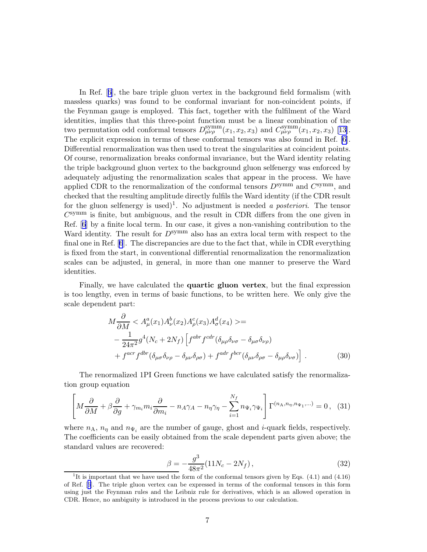In Ref.[[6](#page-10-0)], the bare triple gluon vertex in the background field formalism (with massless quarks) was found to be conformal invariant for non-coincident points, if the Feynman gauge is employed. This fact, together with the fulfilment of the Ward identities, implies that this three-point function must be a linear combination of the two permutation odd conformal tensors  $D_{\mu\nu\rho}^{\rm symm}(x_1, x_2, x_3)$  and  $C_{\mu\nu\rho}^{\rm symm}(x_1, x_2, x_3)$  [\[13\]](#page-10-0). The explicit expression in terms of these conformal tensors was also found in Ref. [\[6\]](#page-10-0). Differential renormalization was then used to treat the singularities at coincident points. Of course, renormalization breaks conformal invariance, but the Ward identity relating the triple background gluon vertex to the background gluon selfenergy was enforced by adequately adjusting the renormalization scales that appear in the process. We have applied CDR to the renormalization of the conformal tensors  $D^{\text{symm}}$  and  $C^{\text{symm}}$ , and checked that the resulting amplitude directly fulfils the Ward identity (if the CDR result for the gluon selfenergy is used)<sup>1</sup>. No adjustment is needed *a posteriori*. The tensor  $C^{\text{symm}}$  is finite, but ambiguous, and the result in CDR differs from the one given in Ref.[[6](#page-10-0)] by a finite local term. In our case, it gives a non-vanishing contribution to the Ward identity. The result for  $D^{\text{symm}}$  also has an extra local term with respect to the final one in Ref. [\[6](#page-10-0)]. The discrepancies are due to the fact that, while in CDR everything is fixed from the start, in conventional differential renormalization the renormalization scales can be adjusted, in general, in more than one manner to preserve the Ward identities.

Finally, we have calculated the quartic gluon vertex, but the final expression is too lengthy, even in terms of basic functions, to be written here. We only give the scale dependent part:

$$
M\frac{\partial}{\partial M} < A^a_\mu(x_1)A^b_\nu(x_2)A^c_\rho(x_3)A^d_\sigma(x_4) > = \\
-\frac{1}{24\pi^2}g^4(N_c + 2N_f)\left[f^{abr}f^{cdr}(\delta_{\mu\rho}\delta_{\nu\sigma} - \delta_{\mu\sigma}\delta_{\nu\rho}) + f^{acr}f^{dbr}(\delta_{\mu\sigma}\delta_{\nu\rho} - \delta_{\mu\nu}\delta_{\rho\sigma}) + f^{adr}f^{bcr}(\delta_{\mu\nu}\delta_{\rho\sigma} - \delta_{\mu\rho}\delta_{\nu\sigma})\right].\n\tag{30}
$$

The renormalized 1PI Green functions we have calculated satisfy the renormalization group equation

$$
\left[M\frac{\partial}{\partial M} + \beta \frac{\partial}{\partial g} + \gamma_{m_i} m_i \frac{\partial}{\partial m_i} - n_A \gamma_A - n_\eta \gamma_\eta - \sum_{i=1}^{N_f} n_{\Psi_i} \gamma_{\Psi_i}\right] \Gamma^{(n_A, n_\eta, n_{\Psi_1}, \dots)} = 0, \quad (31)
$$

where  $n_A$ ,  $n_\eta$  and  $n_{\Psi_i}$  are the number of gauge, ghost and *i*-quark fields, respectively. The coefficients can be easily obtained from the scale dependent parts given above; the standard values are recovered:

$$
\beta = -\frac{g^3}{48\pi^2} (11N_c - 2N_f),\tag{32}
$$

<sup>&</sup>lt;sup>1</sup>It is important that we have used the form of the conformal tensors given by Eqs.  $(4.1)$  and  $(4.16)$ of Ref.[[6](#page-10-0)]. The triple gluon vertex can be expressed in terms of the conformal tensors in this form using just the Feynman rules and the Leibniz rule for derivatives, which is an allowed operation in CDR. Hence, no ambiguity is introduced in the process previous to our calculation.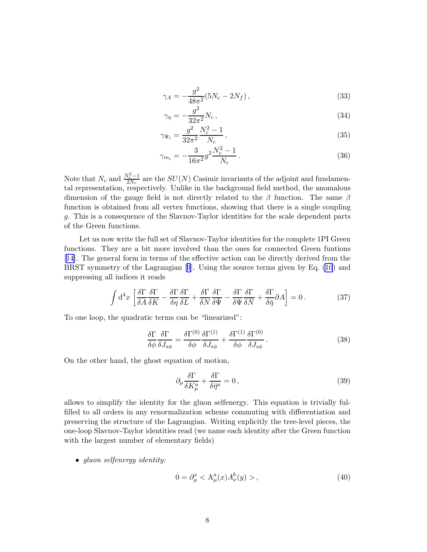$$
\gamma_A = -\frac{g^2}{48\pi^2} (5N_c - 2N_f),\tag{33}
$$

$$
\gamma_{\eta} = -\frac{g^2}{32\pi^2} N_c \,, \tag{34}
$$

$$
\gamma_{\Psi_i} = \frac{g^2}{32\pi^2} \frac{N_c^2 - 1}{N_c} \,,\tag{35}
$$

$$
\gamma_{m_i} = -\frac{3}{16\pi^2} g^2 \frac{N_c^2 - 1}{N_c} \,. \tag{36}
$$

Note that  $N_c$  and  $\frac{N_c^2-1}{2N_c}$  $\frac{2N_c-1}{2N_c}$  are the  $SU(N)$  Casimir invariants of the adjoint and fundamental representation, respectively. Unlike in the background field method, the anomalous dimension of the gauge field is not directly related to the  $\beta$  function. The same  $\beta$ function is obtained from all vertex functions, showing that there is a single coupling g. This is a consequence of the Slavnov-Taylor identities for the scale dependent parts of the Green functions.

Let us now write the full set of Slavnov-Taylor identities for the complete 1PI Green functions. They are a bit more involved than the ones for connected Green funtions [[14\]](#page-10-0). The general form in terms of the effective action can be directly derived from the BRST symmetry of the Lagrangian [\[9](#page-10-0)]. Using the source terms given by Eq. [\(10](#page-2-0)) and suppressing all indices it reads

$$
\int d^4x \left[ \frac{\delta \Gamma}{\delta A} \frac{\delta \Gamma}{\delta K} - \frac{\delta \Gamma}{\delta \eta} \frac{\delta \Gamma}{\delta L} + \frac{\delta \Gamma}{\delta N} \frac{\delta \Gamma}{\delta \bar{\Psi}} - \frac{\delta \Gamma}{\delta \Psi} \frac{\delta \Gamma}{\delta \bar{N}} + \frac{\delta \Gamma}{\delta \bar{\eta}} \partial A \right] = 0. \tag{37}
$$

To one loop, the quadratic terms can be "linearized":

$$
\frac{\delta \Gamma}{\delta \phi} \frac{\delta \Gamma}{\delta J_{s\phi}} = \frac{\delta \Gamma^{(0)}}{\delta \phi} \frac{\delta \Gamma^{(1)}}{\delta J_{s\phi}} + \frac{\delta \Gamma^{(1)}}{\delta \phi} \frac{\delta \Gamma^{(0)}}{\delta J_{s\phi}}.
$$
\n(38)

On the other hand, the ghost equation of motion,

$$
\partial_{\mu} \frac{\delta \Gamma}{\delta K_{\mu}^{a}} + \frac{\delta \Gamma}{\delta \bar{\eta}^{a}} = 0, \qquad (39)
$$

allows to simplify the identity for the gluon selfenergy. This equation is trivially fulfilled to all orders in any renormalization scheme commuting with differentiation and preserving the structure of the Lagrangian. Writing explicitly the tree-level pieces, the one-loop Slavnov-Taylor identities read (we name each identity after the Green function with the largest number of elementary fields)

• *gluon selfenergy identity:*

$$
0 = \partial_{\mu}^{x} < \mathcal{A}_{\mu}^{a}(x) A_{\nu}^{b}(y) > , \tag{40}
$$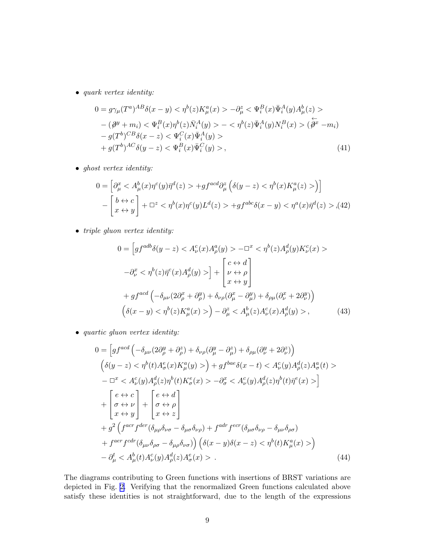• *quark vertex identity:*

$$
0 = g\gamma_{\mu}(T^{a})^{AB}\delta(x - y) < \eta^{b}(z)K^{a}_{\mu}(x) > -\partial_{\mu}^{z} < \Psi^{B}_{i}(x)\bar{\Psi}^{A}_{i}(y)A^{b}_{\mu}(z) > - (\partial^{y} + m_{i}) < \Psi^{B}_{i}(x)\eta^{b}(z)\bar{N}^{A}_{i}(y) > - < \eta^{b}(z)\bar{\Psi}^{A}_{i}(y)N^{B}_{i}(x) > (\bar{\partial}^{x} - m_{i}) - g(T^{b})^{CB}\delta(x - z) < \Psi^{C}_{i}(x)\bar{\Psi}^{A}_{i}(y) > + g(T^{b})^{AC}\delta(y - z) < \Psi^{B}_{i}(x)\bar{\Psi}^{C}_{i}(y) >,
$$
\n(41)

• *ghost vertex identity:*

$$
0 = \left[\partial_{\mu}^{x} < A_{\mu}^{b}(x)\eta^{c}(y)\bar{\eta}^{d}(z) > +gf^{acd}\partial_{\mu}^{z}\left(\delta(y-z) < \eta^{b}(x)K_{\mu}^{a}(z) > \right)\right] \\
-\left[\begin{array}{c}b \leftrightarrow c\\x \leftrightarrow y\end{array}\right] + \Box^{z} < \eta^{b}(x)\eta^{c}(y)L^{d}(z) > +gf^{abc}\delta(x-y) < \eta^{a}(x)\bar{\eta}^{d}(z) > , \tag{42}
$$

• *triple gluon vertex identity:*

$$
0 = \left[ gf^{adb}\delta(y-z) < A^c_\nu(x)A^a_\rho(y) > -\Box^x < \eta^b(z)A^d_\rho(y)K^c_\nu(x) > -\partial^x_\nu < \eta^b(z)\bar{\eta}^c(x)A^d_\rho(y) > \right] + \left[ \begin{array}{l} c \leftrightarrow d \\ \nu \leftrightarrow \rho \\ x \leftrightarrow y \end{array} \right]
$$
\n
$$
+ gf^{acd} \left( -\delta_{\mu\nu} (2\partial^x_\rho + \partial^y_\rho) + \delta_{\nu\rho} (\partial^x_\mu - \partial^y_\mu) + \delta_{\rho\mu} (\partial^x_\nu + 2\partial^y_\nu) \right)
$$
\n
$$
\left( \delta(x-y) < \eta^b(z)K^a_\mu(x) > \right) - \partial^z_\mu < A^b_\mu(z)A^c_\nu(x)A^d_\rho(y) > , \tag{43}
$$

• *quartic gluon vertex identity:*

$$
0 = \left[ gf^{acd} \left( -\delta_{\mu\nu} (2\partial_{\rho}^{y} + \partial_{\rho}^{z}) + \delta_{\nu\rho} (\partial_{\mu}^{y} - \partial_{\mu}^{z}) + \delta_{\rho\mu} (\partial_{\nu}^{y} + 2\partial_{\nu}^{z}) \right) \right]
$$
  
\n
$$
\left( \delta(y - z) < \eta^{b}(t) A_{\sigma}^{e}(x) K_{\mu}^{a}(y) > \right) + gf^{bac} \delta(x - t) < A_{\nu}^{c}(y) A_{\rho}^{d}(z) A_{\sigma}^{a}(t) > \right]
$$
  
\n
$$
- \Box^{x} < A_{\nu}^{c}(y) A_{\rho}^{d}(z) \eta^{b}(t) K_{\sigma}^{e}(x) > -\partial_{\sigma}^{x} < A_{\nu}^{c}(y) A_{\rho}^{d}(z) \eta^{b}(t) \overline{\eta}^{e}(x) > \right]
$$
  
\n
$$
+ \left[ \sigma \leftrightarrow \nu \atop \sigma \leftrightarrow \nu \atop x \leftrightarrow y \right] + \left[ \sigma \leftrightarrow \rho \atop x \leftrightarrow z \right]
$$
  
\n
$$
+ g^{2} \left( f^{acr} f^{der} (\delta_{\mu\nu} \delta_{\nu\sigma} - \delta_{\mu\sigma} \delta_{\nu\rho}) + f^{adr} f^{ecr} (\delta_{\mu\sigma} \delta_{\nu\rho} - \delta_{\mu\nu} \delta_{\rho\sigma}) \right)
$$
  
\n
$$
+ f^{aer} f^{cdr} (\delta_{\mu\nu} \delta_{\rho\sigma} - \delta_{\mu\rho} \delta_{\nu\sigma}) \right) (\delta(x - y) \delta(x - z) < \eta^{b}(t) K_{\mu}^{a}(x) > \right)
$$
  
\n
$$
- \partial_{\mu}^{t} < A_{\mu}^{b}(t) A_{\nu}^{c}(y) A_{\rho}^{d}(z) A_{\sigma}^{e}(x) > . \tag{44}
$$

The diagrams contributing to Green functions with insertions of BRST variations are depicted in Fig. [2.](#page-12-0) Verifying that the renormalized Green functions calculated above satisfy these identities is not straightforward, due to the length of the expressions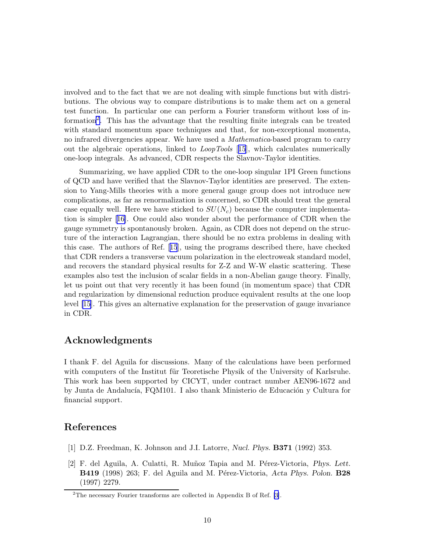<span id="page-9-0"></span>involved and to the fact that we are not dealing with simple functions but with distributions. The obvious way to compare distributions is to make them act on a general test function. In particular one can perform a Fourier transform without loss of information<sup>2</sup> . This has the advantage that the resulting finite integrals can be treated with standard momentum space techniques and that, for non-exceptional momenta, no infrared divergencies appear. We have used a *Mathematica*-based program to carry out the algebraic operations, linked to *LoopTools* [[15](#page-10-0)], which calculates numerically one-loop integrals. As advanced, CDR respects the Slavnov-Taylor identities.

Summarizing, we have applied CDR to the one-loop singular 1PI Green functions of QCD and have verified that the Slavnov-Taylor identities are preserved. The extension to Yang-Mills theories with a more general gauge group does not introduce new complications, as far as renormalization is concerned, so CDR should treat the general case equally well. Here we have sticked to  $SU(N_c)$  because the computer implementation is simpler[[16\]](#page-10-0). One could also wonder about the performance of CDR when the gauge symmetry is spontanously broken. Again, as CDR does not depend on the structure of the interaction Lagrangian, there should be no extra problems in dealing with this case. The authors of Ref.[[15](#page-10-0)], using the programs described there, have checked that CDR renders a transverse vacuum polarization in the electroweak standard model, and recovers the standard physical results for Z-Z and W-W elastic scattering. These examples also test the inclusion of scalar fields in a non-Abelian gauge theory. Finally, let us point out that very recently it has been found (in momentum space) that CDR and regularization by dimensional reduction produce equivalent results at the one loop level [\[15](#page-10-0)]. This gives an alternative explanation for the preservation of gauge invariance in CDR.

## Acknowledgments

I thank F. del Aguila for discussions. Many of the calculations have been performed with computers of the Institut für Teoretische Physik of the University of Karlsruhe. This work has been supported by CICYT, under contract number AEN96-1672 and by Junta de Andalucía, FQM101. I also thank Ministerio de Educación y Cultura for financial support.

## References

- [1] D.Z. Freedman, K. Johnson and J.I. Latorre, Nucl. Phys. B371 (1992) 353.
- [2] F. del Aguila, A. Culatti, R. Muñoz Tapia and M. Pérez-Victoria, Phys. Lett. B419 (1998) 263; F. del Aguila and M. Pérez-Victoria, Acta Phys. Polon. B28 (1997) 2279.

<sup>&</sup>lt;sup>2</sup>The necessary Fourier transforms are collected in Appendix B of Ref. [\[3\]](#page-10-0).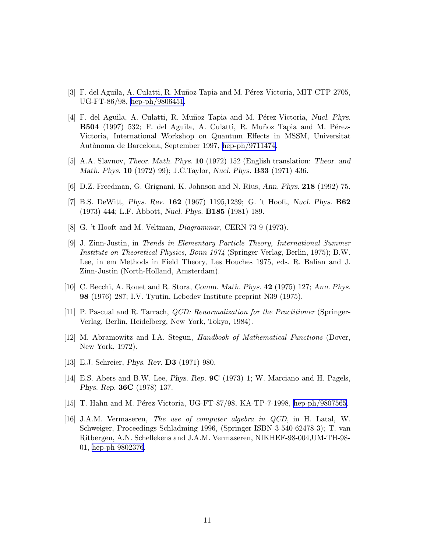- <span id="page-10-0"></span>[3] F. del Aguila, A. Culatti, R. Muñoz Tapia and M. Pérez-Victoria, MIT-CTP-2705, UG-FT-86/98, [hep-ph/9806451](http://arxiv.org/abs/hep-ph/9806451).
- [4] F. del Aguila, A. Culatti, R. Muñoz Tapia and M. Pérez-Victoria, Nucl. Phys. B504 (1997) 532; F. del Aguila, A. Culatti, R. Muñoz Tapia and M. Pérez-Victoria, International Workshop on Quantum Effects in MSSM, Universitat Autònoma de Barcelona, September 1997, [hep-ph/9711474.](http://arxiv.org/abs/hep-ph/9711474)
- [5] A.A. Slavnov, Theor. Math. Phys. 10 (1972) 152 (English translation: Theor. and Math. Phys. 10 (1972) 99); J.C.Taylor, Nucl. Phys. B33 (1971) 436.
- [6] D.Z. Freedman, G. Grignani, K. Johnson and N. Rius, Ann. Phys. 218 (1992) 75.
- [7] B.S. DeWitt, Phys. Rev. 162 (1967) 1195,1239; G. 't Hooft, Nucl. Phys. B62 (1973) 444; L.F. Abbott, Nucl. Phys. B185 (1981) 189.
- [8] G. 't Hooft and M. Veltman, *Diagrammar*, CERN 73-9 (1973).
- [9] J. Zinn-Justin, in *Trends in Elementary Particle Theory, International Summer Institute on Theoretical Physics, Bonn 1974* (Springer-Verlag, Berlin, 1975); B.W. Lee, in em Methods in Field Theory, Les Houches 1975, eds. R. Balian and J. Zinn-Justin (North-Holland, Amsterdam).
- [10] C. Becchi, A. Rouet and R. Stora, Comm. Math. Phys. 42 (1975) 127; Ann. Phys. 98 (1976) 287; I.V. Tyutin, Lebedev Institute preprint N39 (1975).
- [11] P. Pascual and R. Tarrach, *QCD: Renormalization for the Practitioner* (Springer-Verlag, Berlin, Heidelberg, New York, Tokyo, 1984).
- [12] M. Abramowitz and I.A. Stegun, *Handbook of Mathematical Functions* (Dover, New York, 1972).
- [13] E.J. Schreier, *Phys. Rev.* **D3** (1971) 980.
- [14] E.S. Abers and B.W. Lee, Phys. Rep. 9C (1973) 1; W. Marciano and H. Pagels, Phys. Rep. 36C (1978) 137.
- [15] T. Hahn and M. Pérez-Victoria, UG-FT-87/98, KA-TP-7-1998, [hep-ph/9807565](http://arxiv.org/abs/hep-ph/9807565).
- [16] J.A.M. Vermaseren, *The use of computer algebra in QCD*, in H. Latal, W. Schweiger, Proceedings Schladming 1996, (Springer ISBN 3-540-62478-3); T. van Ritbergen, A.N. Schellekens and J.A.M. Vermaseren, NIKHEF-98-004,UM-TH-98- 01, [hep-ph 9802376](http://arxiv.org/abs/hep-ph/9802376).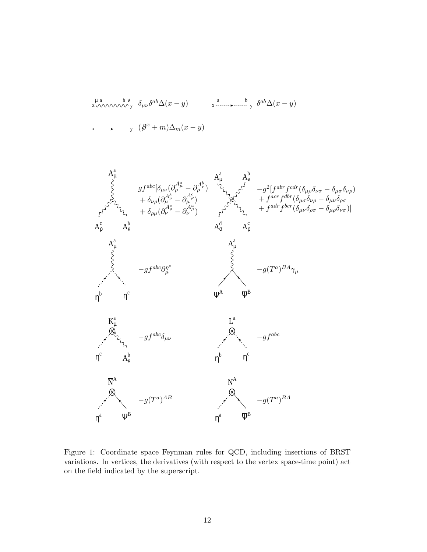<span id="page-11-0"></span>
$$
\sum_{x \to \infty}^{\mu} \sum_{y=0}^{\lambda} \delta_{\mu} \delta^{ab} \Delta(x-y)
$$



Figure 1: Coordinate space Feynman rules for QCD, including insertions of BRST variations. In vertices, the derivatives (with respect to the vertex space-time point) act on the field indicated by the superscript.